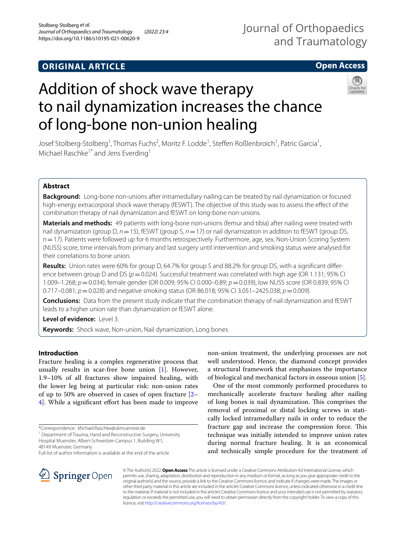## **ORIGINAL ARTICLE**

## Journal of Orthopaedics and Traumatology

## **Open Access**

# Addition of shock wave therapy to nail dynamization increases the chance of long‑bone non‑union healing



Josef Stolberg-Stolberg<sup>1</sup>, Thomas Fuchs<sup>2</sup>, Moritz F. Lodde<sup>1</sup>, Steffen Roßlenbroich<sup>1</sup>, Patric Garcia<sup>1</sup>, Michael Raschke<sup>1\*</sup> and Jens Everding<sup>1</sup>

## **Abstract**

**Background:** Long-bone non-unions after intramedullary nailing can be treated by nail dynamization or focused high-energy extracorporal shock wave therapy (fESWT). The objective of this study was to assess the efect of the combination therapy of nail dynamization and fESWT on long-bone non-unions.

**Materials and methods:** 49 patients with long-bone non-unions (femur and tibia) after nailing were treated with nail dynamization (group D, *n*=15), fESWT (group S, *n*=17) or nail dynamization in addition to fESWT (group DS, *n*=17). Patients were followed up for 6 months retrospectively. Furthermore, age, sex, Non-Union Scoring System (NUSS) score, time intervals from primary and last surgery until intervention and smoking status were analysed for their correlations to bone union.

Results: Union rates were 60% for group D, 64.7% for group S and 88.2% for group DS, with a significant difference between group D and DS ( $p=0.024$ ). Successful treatment was correlated with high age (OR 1.131; 95% CI) 1.009–1.268; *p*=0.034), female gender (OR 0.009; 95% CI 0.000–0.89; *p*=0.039), low NUSS score (OR 0.839; 95% CI 0.717–0.081; *p*=0.028) and negative smoking status (OR 86.018; 95% CI 3.051–2425.038; *p*=0.009).

**Conclusions:** Data from the present study indicate that the combination therapy of nail dynamization and fESWT leads to a higher union rate than dynamization or fESWT alone.

**Level of evidence:** Level 3.

**Keywords:** Shock wave, Non-union, Nail dynamization, Long bones

## **Introduction**

Fracture healing is a complex regenerative process that usually results in scar-free bone union [\[1](#page-8-0)]. However, 1.9–10% of all fractures show impaired healing, with the lower leg being at particular risk: non-union rates of up to 50% are observed in cases of open fracture [[2–](#page-8-1) 4. While a significant effort has been made to improve

<sup>1</sup> Department of Trauma, Hand and Reconstructive Surgery, University Hospital Muenster, Albert‑Schweitzer‑Campus 1, Building W1,



One of the most commonly performed procedures to mechanically accelerate fracture healing after nailing of long bones is nail dynamization. This comprises the removal of proximal or distal locking screws in statically locked intramedullary nails in order to reduce the fracture gap and increase the compression force. This technique was initially intended to improve union rates during normal fracture healing. It is an economical and technically simple procedure for the treatment of



© The Author(s) 2022. **Open Access** This article is licensed under a Creative Commons Attribution 4.0 International License, which permits use, sharing, adaptation, distribution and reproduction in any medium or format, as long as you give appropriate credit to the original author(s) and the source, provide a link to the Creative Commons licence, and indicate if changes were made. The images or other third party material in this article are included in the article's Creative Commons licence, unless indicated otherwise in a credit line to the material. If material is not included in the article's Creative Commons licence and your intended use is not permitted by statutory regulation or exceeds the permitted use, you will need to obtain permission directly from the copyright holder. To view a copy of this licence, visit [http://creativecommons.org/licenses/by/4.0/.](http://creativecommons.org/licenses/by/4.0/)

<sup>\*</sup>Correspondence: Michael.Raschke@ukmuenster.de

<sup>48149</sup> Muenster, Germany

Full list of author information is available at the end of the article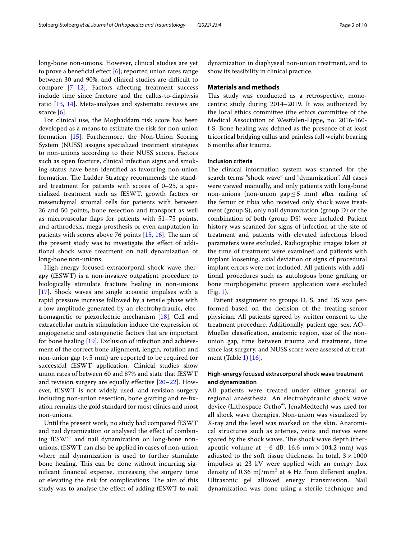long-bone non-unions. However, clinical studies are yet to prove a beneficial effect  $[6]$  $[6]$ ; reported union rates range between 30 and 90%, and clinical studies are difficult to compare  $[7-12]$  $[7-12]$ . Factors affecting treatment success include time since fracture and the callus-to-diaphysis ratio [\[13](#page-9-1), [14\]](#page-9-2). Meta-analyses and systematic reviews are scarce  $[6]$  $[6]$  $[6]$ .

For clinical use, the Moghaddam risk score has been developed as a means to estimate the risk for non-union formation [\[15](#page-9-3)]. Furthermore, the Non-Union Scoring System (NUSS) assigns specialized treatment strategies to non-unions according to their NUSS scores. Factors such as open fracture, clinical infection signs and smoking status have been identifed as favouring non-union formation. The Ladder Strategy recommends the standard treatment for patients with scores of 0–25, a specialized treatment such as fESWT, growth factors or mesenchymal stromal cells for patients with between 26 and 50 points, bone resection and transport as well as microvascular faps for patients with 51–75 points, and arthrodesis, mega-prosthesis or even amputation in patients with scores above 76 points  $[15, 16]$  $[15, 16]$  $[15, 16]$  $[15, 16]$ . The aim of the present study was to investigate the efect of additional shock wave treatment on nail dynamization of long-bone non-unions.

High-energy focused extracorporal shock wave therapy (fESWT) is a non-invasive outpatient procedure to biologically stimulate fracture healing in non-unions [[17\]](#page-9-5). Shock waves are single acoustic impulses with a rapid pressure increase followed by a tensile phase with a low amplitude generated by an electrohydraulic, electromagnetic or piezoelectric mechanism [\[18](#page-9-6)]. Cell and extracellular matrix stimulation induce the expression of angiogenetic and osteogenetic factors that are important for bone healing [\[19](#page-9-7)]. Exclusion of infection and achievement of the correct bone alignment, length, rotation and non-union gap  $(< 5$  mm) are reported to be required for successful fESWT application. Clinical studies show union rates of between 60 and 87% and state that fESWT and revision surgery are equally efective [\[20–](#page-9-8)[22\]](#page-9-9). However, fESWT is not widely used, and revision surgery including non-union resection, bone grafting and re-fxation remains the gold standard for most clinics and most non-unions.

Until the present work, no study had compared fESWT and nail dynamization or analysed the efect of combining fESWT and nail dynamization on long-bone nonunions. fESWT can also be applied in cases of non-union where nail dynamization is used to further stimulate bone healing. This can be done without incurring signifcant fnancial expense, increasing the surgery time or elevating the risk for complications. The aim of this study was to analyse the efect of adding fESWT to nail dynamization in diaphyseal non-union treatment, and to show its feasibility in clinical practice.

#### **Materials and methods**

This study was conducted as a retrospective, monocentric study during 2014–2019. It was authorized by the local ethics committee (the ethics committee of the Medical Association of Westfalen-Lippe, no: 2016-160 f-S. Bone healing was defned as the presence of at least tricortical bridging callus and painless full weight bearing 6 months after trauma.

#### **Inclusion criteria**

The clinical information system was scanned for the search terms "shock wave" and "dynamization". All cases were viewed manually, and only patients with long-bone non-unions (non-union gap  $\leq$  5 mm) after nailing of the femur or tibia who received only shock wave treatment (group S), only nail dynamization (group D) or the combination of both (group DS) were included. Patient history was scanned for signs of infection at the site of treatment and patients with elevated infectious blood parameters were excluded. Radiographic images taken at the time of treatment were examined and patients with implant loosening, axial deviation or signs of procedural implant errors were not included. All patients with additional procedures such as autologous bone grafting or bone morphogenetic protein application were excluded (Fig. [1\)](#page-2-0).

Patient assignment to groups D, S, and DS was performed based on the decision of the treating senior physician. All patients agreed by written consent to the treatment procedure. Additionally, patient age, sex, AO– Mueller classifcation, anatomic region, size of the nonunion gap, time between trauma and treatment, time since last surgery, and NUSS score were assessed at treatment (Table [1](#page-3-0)) [[16\]](#page-9-4).

## **High‑energy focused extracorporal shock wave treatment and dynamization**

All patients were treated under either general or regional anaesthesia. An electrohydraulic shock wave device (Lithospace Ortho®, JenaMedtech) was used for all shock wave therapies. Non-union was visualized by X-ray and the level was marked on the skin. Anatomical structures such as arteries, veins and nerves were spared by the shock waves. The shock wave depth (therapeutic volume at −6 dB: 16.6 mm ×104.2 mm) was adjusted to the soft tissue thickness. In total,  $3 \times 1000$ impulses at 23 kV were applied with an energy fux density of 0.36  $mJ/mm^2$  at 4 Hz from different angles. Ultrasonic gel allowed energy transmission. Nail dynamization was done using a sterile technique and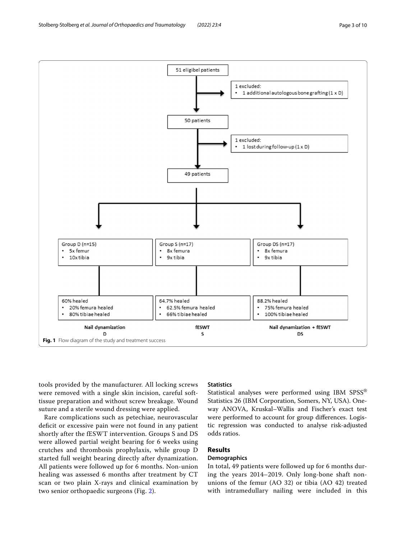<span id="page-2-0"></span>tools provided by the manufacturer. All locking screws were removed with a single skin incision, careful softtissue preparation and without screw breakage. Wound suture and a sterile wound dressing were applied.

Rare complications such as petechiae, neurovascular deficit or excessive pain were not found in any patient shortly after the fESWT intervention. Groups S and DS were allowed partial weight bearing for 6 weeks using crutches and thrombosis prophylaxis, while group D started full weight bearing directly after dynamization. All patients were followed up for 6 months. Non-union healing was assessed 6 months after treatment by CT scan or two plain X-rays and clinical examination by two senior orthopaedic surgeons (Fig. [2](#page-5-0)).

## **Statistics**

Statistical analyses were performed using IBM SPSS® Statistics 26 (IBM Corporation, Somers, NY, USA). Oneway ANOVA, Kruskal–Wallis and Fischer's exact test were performed to account for group diferences. Logistic regression was conducted to analyse risk-adjusted odds ratios.

## **Results**

## **Demographics**

In total, 49 patients were followed up for 6 months during the years 2014–2019. Only long-bone shaft nonunions of the femur (AO 32) or tibia (AO 42) treated with intramedullary nailing were included in this

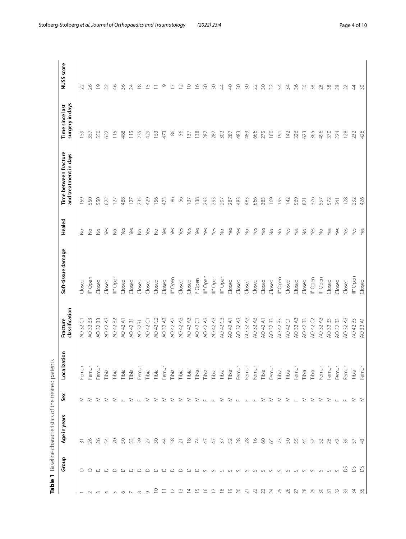<span id="page-3-0"></span>

| $\ddot{\phantom{a}}$<br>j<br>ו<br>ו                                                                            |
|----------------------------------------------------------------------------------------------------------------|
| ١<br>I<br>J<br>J<br>۱<br>J                                                                                     |
| J<br>١<br>Ï<br>J                                                                                               |
| j<br>l<br>J<br>Ì<br>֧֧֧֧֧֧֧֧֧֧֧֧֧֦֧֧֧֧֧֧֧ׅ֧֧֧֧֚֚֚֚֚֚֚֚֚֚֚֚֚֚֚֚֚֚֚֚֚֚֝֓֡֓֓֝֬֝֬֓֓֓֓֓֓֓֓֓֜<br>J<br>י<br>המה היה ה |
| l<br>ļ<br>١<br>١                                                                                               |
|                                                                                                                |

| Table 1                                                                                                                                                                                                                                                                                                                                                                                                                                                                                 |             | Baseline characteristics of the treated patients |                                                                                                                                              |                   |                            |                      |                          |                                                |                                    |                                               |
|-----------------------------------------------------------------------------------------------------------------------------------------------------------------------------------------------------------------------------------------------------------------------------------------------------------------------------------------------------------------------------------------------------------------------------------------------------------------------------------------|-------------|--------------------------------------------------|----------------------------------------------------------------------------------------------------------------------------------------------|-------------------|----------------------------|----------------------|--------------------------|------------------------------------------------|------------------------------------|-----------------------------------------------|
|                                                                                                                                                                                                                                                                                                                                                                                                                                                                                         | Group       | Age in years                                     | Sex                                                                                                                                          | tation<br>Localiz | classification<br>Fracture | Soft-tissue damage   | Healed                   | Time between fracture<br>and treatment in days | surgery in days<br>Time since last | NUSS score                                    |
|                                                                                                                                                                                                                                                                                                                                                                                                                                                                                         | $\supseteq$ | $\overline{m}$                                   |                                                                                                                                              | Femur             | Ū<br>AO 32                 | Closed               | $\frac{1}{2}$            | 159                                            | 159                                | 22                                            |
| $U$ w 4                                                                                                                                                                                                                                                                                                                                                                                                                                                                                 |             | 26                                               |                                                                                                                                              | Femur             | AO 32 B3                   | II° Open             | $\frac{1}{2}$            | 550                                            | 357                                | 26                                            |
|                                                                                                                                                                                                                                                                                                                                                                                                                                                                                         |             |                                                  |                                                                                                                                              | Femur             | AO 32 B3                   | Closed               | $\frac{1}{2}$            | 550                                            | 550                                | $\overline{0}$                                |
|                                                                                                                                                                                                                                                                                                                                                                                                                                                                                         |             |                                                  |                                                                                                                                              | Tibia             | AO 42 A3                   | Closed               | Yes                      | 622                                            | 622                                | 22                                            |
| $\begin{array}{ccccccccccccccccc} \multicolumn{4}{c}{} & \multicolumn{4}{c}{} & \multicolumn{4}{c}{} & \multicolumn{4}{c}{} & \multicolumn{4}{c}{} & \multicolumn{4}{c}{} & \multicolumn{4}{c}{} & \multicolumn{4}{c}{} & \multicolumn{4}{c}{} & \multicolumn{4}{c}{} & \multicolumn{4}{c}{} & \multicolumn{4}{c}{} & \multicolumn{4}{c}{} & \multicolumn{4}{c}{} & \multicolumn{4}{c}{} & \multicolumn{4}{c}{} & \multicolumn{4}{c}{} & \multicolumn{4}{c}{} & \multicolumn{4}{c}{} &$ |             | 838839                                           |                                                                                                                                              | Tibia             | AO 42 B2                   | III° Open            | $\frac{1}{2}$            | 127                                            | $\frac{5}{11}$                     | $\frac{4}{6}$                                 |
|                                                                                                                                                                                                                                                                                                                                                                                                                                                                                         |             |                                                  |                                                                                                                                              | Tibia             | AO 42 A1                   | Closed               | yes                      | 488                                            | 488                                | 36                                            |
|                                                                                                                                                                                                                                                                                                                                                                                                                                                                                         |             |                                                  |                                                                                                                                              | Tibia             | AO 42 B1                   | Closed               | Yes                      | 127                                            | 115                                | 24                                            |
|                                                                                                                                                                                                                                                                                                                                                                                                                                                                                         |             |                                                  |                                                                                                                                              | Femur             | AO 32B1                    | Closed               | $\frac{1}{2}$            | 235                                            | 235                                | $\frac{8}{1}$                                 |
|                                                                                                                                                                                                                                                                                                                                                                                                                                                                                         |             | 27                                               | $\Sigma$ $\Sigma$ $\Sigma$ $\Sigma$ $\Sigma$ $\mathbb{L}$ $\Sigma$ $\mathbb{L}$ $\Sigma$ $\Sigma$                                            | Tibia             | AO 42 C1                   | Closed               | Yes                      | 429                                            | 429                                | S                                             |
| $\Xi$                                                                                                                                                                                                                                                                                                                                                                                                                                                                                   |             | 50                                               |                                                                                                                                              | Tibia             | AO 42 C2                   | Closed               | $\stackrel{\circ}{\geq}$ | 156                                            | 153                                | $\equiv$                                      |
|                                                                                                                                                                                                                                                                                                                                                                                                                                                                                         |             | $\frac{4}{3}$                                    | - ∑                                                                                                                                          | Femur             | AO 32 A3                   | Closed               | Yes                      | 473                                            | 473                                | Ō                                             |
| $\approx$                                                                                                                                                                                                                                                                                                                                                                                                                                                                               |             | 58                                               | ≅                                                                                                                                            | Tibia             | AO 42 A3                   | Il <sup>º</sup> Open | Yes                      | 86                                             | 86                                 | $\mathord{\hspace{1pt}\text{--}\hspace{1pt}}$ |
| $\Xi$                                                                                                                                                                                                                                                                                                                                                                                                                                                                                   |             | $\overline{2}1$                                  |                                                                                                                                              | Tibia             | AO 42 A3                   | Closed               | Yes                      | 56                                             | 56                                 | $\scriptstyle\simeq$                          |
| $\overline{4}$                                                                                                                                                                                                                                                                                                                                                                                                                                                                          |             | $\overset{\infty}{=}$                            |                                                                                                                                              | Tibia             | AO 42 A3                   | Closed               | Yes                      | 137                                            | 137                                | $\supseteq$                                   |
| $\overline{5}$                                                                                                                                                                                                                                                                                                                                                                                                                                                                          |             | $\overline{z}$                                   |                                                                                                                                              | Tibia             | AO 42 C1                   | I° Open              | Yes                      | 138                                            | 138                                | $\frac{8}{1}$                                 |
| $\frac{6}{1}$                                                                                                                                                                                                                                                                                                                                                                                                                                                                           |             | $\ddot{+}$                                       |                                                                                                                                              | Tibia             | AO 42 A3                   | III° Open            | Yes                      | 293                                            | 287                                | 50                                            |
| $\overline{a}$                                                                                                                                                                                                                                                                                                                                                                                                                                                                          |             | $\ddot{t}$                                       |                                                                                                                                              | Tibia             | AO 42 A3                   | III° Open            | Yes                      | 293                                            | 287                                | 50                                            |
| $\frac{8}{10}$                                                                                                                                                                                                                                                                                                                                                                                                                                                                          |             | $\frac{2}{3}$                                    |                                                                                                                                              | Tibia             | AO 42 C3                   | III° Open            | $\stackrel{\circ}{\geq}$ | 297                                            | 302                                | $\overline{4}$                                |
| $\overline{0}$                                                                                                                                                                                                                                                                                                                                                                                                                                                                          |             | 52                                               |                                                                                                                                              | Tibia             | AO 42 A1                   | Closed               | Yes                      | 287                                            | 287                                | $\Theta$                                      |
|                                                                                                                                                                                                                                                                                                                                                                                                                                                                                         |             | 28                                               |                                                                                                                                              | Femur             | AO 32 A3                   | Closed               | Yes                      | 483                                            | 483                                | 50                                            |
| $20$ $71$                                                                                                                                                                                                                                                                                                                                                                                                                                                                               |             | 28                                               |                                                                                                                                              | Femur             | AO 32 A3                   | Closed               | $\frac{1}{2}$            | 483                                            | 483                                | 30                                            |
|                                                                                                                                                                                                                                                                                                                                                                                                                                                                                         |             | $\frac{\infty}{2}$                               | $\Sigma$ $\Sigma$ $\Sigma$ $\bot$ $\bot$ $\Sigma$ $\Sigma$ $\bot$ $\bot$ $\bot$ $\Sigma$ $\Sigma$ $\Sigma$ $\Sigma$ $\bot$ $\Sigma$ $\Sigma$ | Femur             | AO 32 A3                   | Closed               | Yes                      | 666                                            | 666                                | $22\,$                                        |
|                                                                                                                                                                                                                                                                                                                                                                                                                                                                                         |             | $\mathcal{S}$                                    |                                                                                                                                              | Tibia             | AO 42 A1                   | Closed               | Yes                      | 383                                            | 275                                | $\sqrt{30}$                                   |
| 23456782                                                                                                                                                                                                                                                                                                                                                                                                                                                                                |             | 65                                               |                                                                                                                                              | Femur             | AO 32 B3                   | Closed               | $\frac{1}{2}$            | 169                                            | 160                                | $\overline{\mathcal{Z}}$                      |
|                                                                                                                                                                                                                                                                                                                                                                                                                                                                                         |             | 23                                               |                                                                                                                                              | Tibia             | $_{\rm B3}$<br>AO 42       | II° Open             | $\frac{1}{2}$            | 195                                            | $\overline{9}$                     | 24                                            |
|                                                                                                                                                                                                                                                                                                                                                                                                                                                                                         |             | S                                                |                                                                                                                                              | Tibia             | $\overline{\cup}$<br>AO 42 | Closed               | Yes                      | 142                                            | 142                                | $\frac{5}{4}$                                 |
|                                                                                                                                                                                                                                                                                                                                                                                                                                                                                         |             | 55                                               |                                                                                                                                              | Femur             | $\approx$<br>AO 32         | Closed               | Yes                      | 569                                            | 326                                | 36                                            |
|                                                                                                                                                                                                                                                                                                                                                                                                                                                                                         |             | 45                                               |                                                                                                                                              | Tibia             | 63<br>AO 42                | Closed               | $\frac{1}{2}$            | 821                                            | 623                                | 36                                            |
| 29                                                                                                                                                                                                                                                                                                                                                                                                                                                                                      |             | 57                                               |                                                                                                                                              | Tibia             | $\mathcal{C}$<br>AO 42     | I <sup>o</sup> Open  | yes                      | 376                                            | 365                                | 38                                            |
| 307/32                                                                                                                                                                                                                                                                                                                                                                                                                                                                                  |             | 52                                               | - ∑                                                                                                                                          | Femur             | AO 32 A3                   | II° Open             | $\geq$                   | 557                                            | 496                                | 28                                            |
|                                                                                                                                                                                                                                                                                                                                                                                                                                                                                         |             | 26                                               | $\Sigma$ $\mu$ $\mu$                                                                                                                         | Femur             | $_{\rm B}$<br>AO 32        | Closed               | Yes                      | 572                                            | 370                                | 38                                            |
|                                                                                                                                                                                                                                                                                                                                                                                                                                                                                         |             | $\overline{4}$                                   |                                                                                                                                              | Femur             | AO 32 B3                   | Closed               | Yes                      | 341                                            | 224                                | $28$                                          |
| 33                                                                                                                                                                                                                                                                                                                                                                                                                                                                                      | S           | 39                                               |                                                                                                                                              | Femur             | AO 32 A3                   | Closed               | Yes                      | 128                                            | 128                                | 22                                            |
| 34<br>35                                                                                                                                                                                                                                                                                                                                                                                                                                                                                | S S         | 5                                                | ΣΣ                                                                                                                                           | Tibia             | B <sup>3</sup><br>AO 42    | III° Open            | Yes                      | 232                                            | 232                                | $\ddot{4}$                                    |
|                                                                                                                                                                                                                                                                                                                                                                                                                                                                                         |             |                                                  |                                                                                                                                              | Femur             | AO 32 A1                   | Closed               | yes                      | 426                                            | 426                                | $\approx$                                     |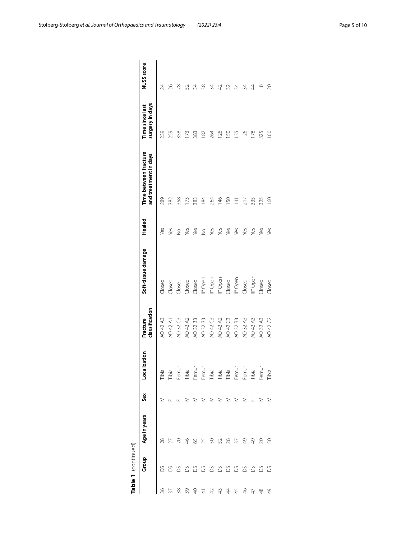|    | Table 1 (continued) |               |       |                                                                                                                                                                                    |                            |                      |               |                                                |                                    |                |
|----|---------------------|---------------|-------|------------------------------------------------------------------------------------------------------------------------------------------------------------------------------------|----------------------------|----------------------|---------------|------------------------------------------------|------------------------------------|----------------|
|    | Group               | Age in years  | Sex   | Localization                                                                                                                                                                       | classification<br>Fracture | Soft-tissue damage   | Healed        | Time between fracture<br>and treatment in days | surgery in days<br>Time since last | NUSS score     |
| 36 | S                   | 28            | Σ     | Tibia                                                                                                                                                                              | AO 42 A3                   | Closed               | Yes           | 289                                            | 239                                | 24             |
|    | 8888888888          |               |       | Tibia<br>Femur                                                                                                                                                                     | AO 42 A1                   | Closed               | Yes           | 382                                            | 259                                | 26             |
| ≋  |                     | 20            |       |                                                                                                                                                                                    | AO 32 C3                   | Closed               | $\frac{1}{2}$ | 358                                            | 358                                | 28             |
| 39 |                     | $\frac{1}{2}$ | Σ     | Tibia                                                                                                                                                                              | AO 42 A2                   | Closed               | yes           | 173                                            | IŽ                                 |                |
|    |                     | $65$          | Σ     | Femur                                                                                                                                                                              | AO 32 B3                   | Closed               | yes           | 383                                            | 383                                | ₹              |
|    |                     | 25            | Σ     | Femur                                                                                                                                                                              | AO 32 B3                   | II° Open             | $\frac{1}{2}$ | 184                                            | 182                                | $\frac{8}{3}$  |
|    |                     | 50            | Σ     |                                                                                                                                                                                    | AO 42 C3                   | II° Open             | Yes           | 264                                            | 264                                | ₹              |
|    |                     | 52            | ≅     | $\begin{array}{c}\n\overline{15} & \overline{15} & \overline{18} \\ \overline{11} & \overline{15} & \overline{18} \\ \overline{11} & \overline{11} & \overline{11} \\ \end{array}$ | AO 42 A2                   | II° Open             | Yes           | $\frac{46}{5}$                                 | 126                                |                |
|    |                     | $^{28}$       | ≅     |                                                                                                                                                                                    | AO 42 C3                   | Closed               | Yes           | 150                                            | <b>SO</b>                          |                |
|    |                     |               | Σ     | Femur                                                                                                                                                                              | AO 32 B3                   | Il <sup>º</sup> Open | Yes           | $\overline{141}$                               | 135                                | 34             |
|    |                     | $\frac{1}{2}$ | Σ     | Femur                                                                                                                                                                              | AO 32 A3                   | Closed               | Yes           | 217                                            | 26                                 | 34             |
|    |                     | $\frac{1}{4}$ | $\pm$ | Tibia<br>Femur                                                                                                                                                                     | AO 42 A3                   | III° Open            | Yes           | 335                                            | 178                                | $\overline{4}$ |
|    | DS                  |               | Σ     |                                                                                                                                                                                    | AO 32 A3                   | Closed               | Yes           | 325                                            | 325                                | ∞              |
| 49 | SC                  |               |       | Tibia                                                                                                                                                                              | AO 42 C2                   | Closed               | yes           | $\frac{60}{50}$                                | $\frac{8}{6}$                      | 20             |
|    |                     |               |       |                                                                                                                                                                                    |                            |                      |               |                                                |                                    |                |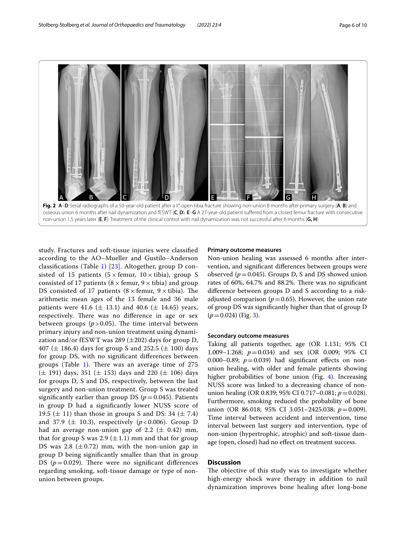

<span id="page-5-0"></span>

study. Fractures and soft-tissue injuries were classifed according to the AO–Mueller and Gustilo–Anderson classifcations (Table [1](#page-3-0)) [\[23](#page-9-10)]. Altogether, group D consisted of 15 patients ( $5 \times$  femur,  $10 \times$  tibia), group S consisted of 17 patients ( $8 \times$  femur,  $9 \times$  tibia) and group DS consisted of 17 patients ( $8 \times$  femur,  $9 \times$  tibia). The arithmetic mean ages of the 13 female and 36 male patients were 41.6 ( $\pm$  13.1) and 40.6 ( $\pm$  14.65) years, respectively. There was no difference in age or sex between groups  $(p > 0.05)$ . The time interval between primary injury and non-union treatment using dynamization and/or fESWT was 289  $(\pm 202)$  days for group D, 407 ( $\pm$  186.4) days for group S and 252.5 ( $\pm$  100) days for group DS, with no signifcant diferences between groups (Table [1\)](#page-3-0). There was an average time of  $275$  $(\pm 191)$  days, 351  $(\pm 153)$  days and 220  $(\pm 106)$  days for groups D, S and DS, respectively, between the last surgery and non-union treatment. Group S was treated significantly earlier than group DS ( $p = 0.045$ ). Patients in group D had a signifcantly lower NUSS score of 19.5 ( $\pm$  11) than those in groups S and DS: 34 ( $\pm$  7.4) and 37.9 ( $\pm$  10.3), respectively ( $p < 0.006$ ). Group D had an average non-union gap of 2.2 ( $\pm$  0.42) mm, that for group S was 2.9  $(\pm 1.1)$  mm and that for group DS was 2.8  $(\pm 0.72)$  mm, with the non-union gap in group D being signifcantly smaller than that in group DS ( $p=0.029$ ). There were no significant differences regarding smoking, soft-tissue damage or type of nonunion between groups.

#### **Primary outcome measures**

Non-union healing was assessed 6 months after intervention, and signifcant diferences between groups were observed  $(p=0.045)$ . Groups D, S and DS showed union rates of  $60\%$ ,  $64.7\%$  and  $88.2\%$ . There was no significant diference between groups D and S according to a riskadjusted comparison ( $p=0.65$ ). However, the union rate of group DS was signifcantly higher than that of group D (*p*=0.024) (Fig. [3\)](#page-6-0).

#### **Secondary outcome measures**

Taking all patients together, age (OR 1.131; 95% CI 1.009–1.268; *p*=0.034) and sex (OR 0.009; 95% CI 0.000–0.89;  $p=0.039$ ) had significant effects on nonunion healing, with older and female patients showing higher probabilities of bone union (Fig. [4\)](#page-6-1). Increasing NUSS score was linked to a decreasing chance of nonunion healing (OR 0.839; 95% CI 0.717-0.081; *p* = 0.028). Furthermore, smoking reduced the probability of bone union (OR 86.018; 95% CI 3.051–2425.038; *p*=0.009). Time interval between accident and intervention, time interval between last surgery and intervention, type of non-union (hypertrophic, atrophic) and soft-tissue damage (open, closed) had no efect on treatment success.

#### **Discussion**

The objective of this study was to investigate whether high-energy shock wave therapy in addition to nail dynamization improves bone healing after long-bone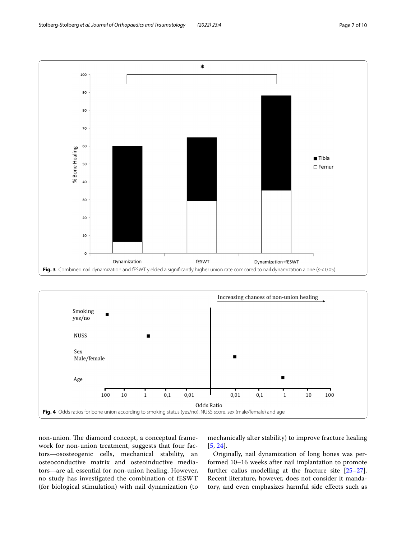100

90





<span id="page-6-0"></span>

<span id="page-6-1"></span>non-union. The diamond concept, a conceptual framework for non-union treatment, suggests that four factors—ososteogenic cells, mechanical stability, an osteoconductive matrix and osteoinductive mediators—are all essential for non-union healing. However, no study has investigated the combination of fESWT (for biological stimulation) with nail dynamization (to mechanically alter stability) to improve fracture healing [[5](#page-8-3), [24](#page-9-11)].

Originally, nail dynamization of long bones was performed 10–16 weeks after nail implantation to promote further callus modelling at the fracture site [[25](#page-9-12)[–27](#page-9-13)]. Recent literature, however, does not consider it mandatory, and even emphasizes harmful side efects such as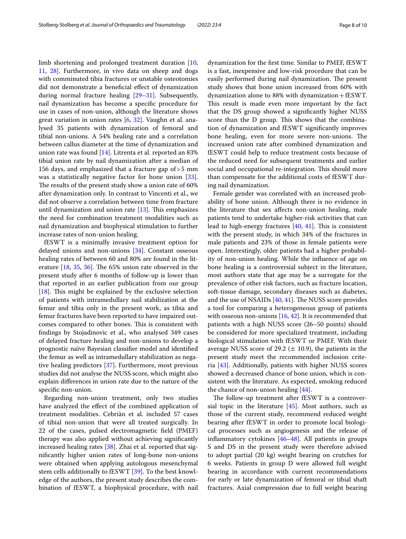limb shortening and prolonged treatment duration [\[10](#page-9-14), [11,](#page-9-15) [28](#page-9-16)]. Furthermore, in vivo data on sheep and dogs with comminuted tibia fractures or unstable osteotomies did not demonstrate a benefcial efect of dynamization during normal fracture healing [\[29](#page-9-17)[–31\]](#page-9-18). Subsequently, nail dynamization has become a specifc procedure for use in cases of non-union, although the literature shows great variation in union rates [\[6](#page-8-4), [32\]](#page-9-19). Vaughn et al. analysed 35 patients with dynamization of femoral and tibial non-unions. A 54% healing rate and a correlation between callus diameter at the time of dynamization and union rate was found [[14\]](#page-9-2). Litrenta et al. reported an 83% tibial union rate by nail dynamization after a median of 156 days, and emphasized that a fracture gap of>5 mm was a statistically negative factor for bone union [\[33](#page-9-20)]. The results of the present study show a union rate of 60% after dynamization only. In contrast to Vincenti et al., we did not observe a correlation between time from fracture until dynamization and union rate  $[13]$  $[13]$ . This emphasizes the need for combination treatment modalities such as nail dynamization and biophysical stimulation to further increase rates of non-union healing.

fESWT is a minimally invasive treatment option for delayed unions and non-unions [[34\]](#page-9-21). Constant osseous healing rates of between 60 and 80% are found in the literature  $[18, 35, 36]$  $[18, 35, 36]$  $[18, 35, 36]$  $[18, 35, 36]$  $[18, 35, 36]$ . The 65% union rate observed in the present study after 6 months of follow-up is lower than that reported in an earlier publication from our group [ $18$ ]. This might be explained by the exclusive selection of patients with intramedullary nail stabilization at the femur and tibia only in the present work, as tibia and femur fractures have been reported to have impaired outcomes compared to other bones. This is consistent with fndings by Stojadinovic et al., who analysed 349 cases of delayed fracture healing and non-unions to develop a prognostic naïve Bayesian classifer model and identifed the femur as well as intramedullary stabilization as negative healing predictors [[37](#page-9-24)]. Furthermore, most previous studies did not analyse the NUSS score, which might also explain diferences in union rate due to the nature of the specifc non-union.

Regarding non-union treatment, only two studies have analyzed the efect of the combined application of treatment modalities. Cebriàn et al. included 57 cases of tibial non-union that were all treated surgically. In 22 of the cases, pulsed electromagmetic feld (PMEF) therapy was also applied without achieving signifcantly increased healing rates [[38](#page-9-25)]. Zhai et al. reported that signifcantly higher union rates of long-bone non-unions were obtained when applying autologous mesenchymal stem cells additionally to fESWT [\[39](#page-9-26)]. To the best knowledge of the authors, the present study describes the combination of fESWT, a biophysical procedure, with nail dynamization for the frst time. Similar to PMEF, fESWT is a fast, inexpensive and low-risk procedure that can be easily performed during nail dynamization. The present study shows that bone union increased from 60% with dynamization alone to  $88\%$  with dynamization + fESWT. This result is made even more important by the fact that the DS group showed a signifcantly higher NUSS score than the D group. This shows that the combination of dynamization and fESWT signifcantly improves bone healing, even for more severe non-unions. The increased union rate after combined dynamization and fESWT could help to reduce treatment costs because of the reduced need for subsequent treatments and earlier social and occupational re-integration. This should more than compensate for the additional costs of fESWT during nail dynamization.

Female gender was correlated with an increased probability of bone union. Although there is no evidence in the literature that sex afects non-union healing, male patients tend to undertake higher-risk activities that can lead to high-energy fractures  $[40, 41]$  $[40, 41]$  $[40, 41]$ . This is consistent with the present study, in which 34% of the fractures in male patients and 23% of those in female patients were open. Interestingly, older patients had a higher probability of non-union healing. While the infuence of age on bone healing is a controversial subject in the literature, most authors state that age may be a surrogate for the prevalence of other risk factors, such as fracture location, soft-tissue damage, secondary diseases such as diabetes, and the use of NSAIDs  $[40, 41]$  $[40, 41]$  $[40, 41]$  $[40, 41]$ . The NUSS score provides a tool for comparing a heterogeneous group of patients with osseous non-unions  $[16, 42]$  $[16, 42]$  $[16, 42]$ . It is recommended that patients with a high NUSS score (26–50 points) should be considered for more specialized treatment, including biological stimulation with fESWT or PMEF. With their average NUSS score of 29.2 ( $\pm$  10.9), the patients in the present study meet the recommended inclusion criteria [\[43](#page-9-30)]. Additionally, patients with higher NUSS scores showed a decreased chance of bone union, which is consistent with the literature. As expected, smoking reduced the chance of non-union healing  $[44]$  $[44]$  $[44]$ .

The follow-up treatment after fESWT is a controversial topic in the literature  $[45]$  $[45]$ . Most authors, such as those of the current study, recommend reduced weight bearing after fESWT in order to promote local biological processes such as angiogenesis and the release of inflammatory cytokines  $[46-48]$  $[46-48]$  $[46-48]$ . All patients in groups S and DS in the present study were therefore advised to adopt partial (20 kg) weight bearing on crutches for 6 weeks. Patients in group D were allowed full weight bearing in accordance with current recommendations for early or late dynamization of femoral or tibial shaft fractures. Axial compression due to full weight bearing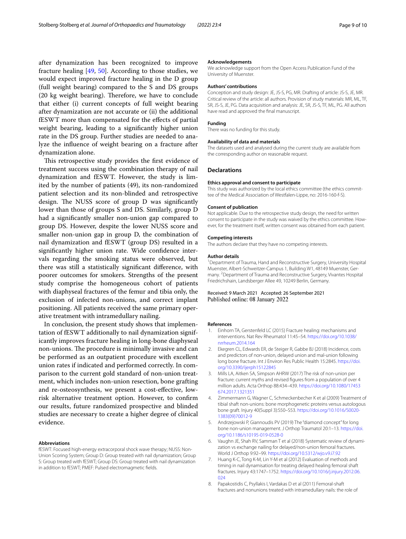after dynamization has been recognized to improve fracture healing  $[49, 50]$  $[49, 50]$  $[49, 50]$ . According to those studies, we would expect improved fracture healing in the D group (full weight bearing) compared to the S and DS groups (20 kg weight bearing). Therefore, we have to conclude that either (i) current concepts of full weight bearing after dynamization are not accurate or (ii) the additional fESWT more than compensated for the efects of partial weight bearing, leading to a signifcantly higher union rate in the DS group. Further studies are needed to analyze the infuence of weight bearing on a fracture after dynamization alone.

This retrospective study provides the first evidence of treatment success using the combination therapy of nail dynamization and fESWT. However, the study is limited by the number of patients (49), its non-randomized patient selection and its non-blinded and retrospective design. The NUSS score of group D was significantly lower than those of groups S and DS. Similarly, group D had a signifcantly smaller non-union gap compared to group DS. However, despite the lower NUSS score and smaller non-union gap in group D, the combination of nail dynamization and fESWT (group DS) resulted in a significantly higher union rate. Wide confidence intervals regarding the smoking status were observed, but there was still a statistically signifcant diference, with poorer outcomes for smokers. Strengths of the present study comprise the homogeneous cohort of patients with diaphyseal fractures of the femur and tibia only, the exclusion of infected non-unions, and correct implant positioning. All patients received the same primary operative treatment with intramedullary nailing.

In conclusion, the present study shows that implementation of fESWT additionally to nail dynamization significantly improves fracture healing in long-bone diaphyseal non-unions. The procedure is minimally invasive and can be performed as an outpatient procedure with excellent union rates if indicated and performed correctly. In comparison to the current gold standard of non-union treatment, which includes non-union resection, bone grafting and re-osteosynthesis, we present a cost-efective, lowrisk alternative treatment option. However, to confrm our results, future randomized prospective and blinded studies are necessary to create a higher degree of clinical evidence.

#### **Abbreviations**

fESWT: Focused high-energy extracorporal shock wave therapy; NUSS: Non-Union Scoring System; Group D: Group treated with nail dynamization; Group S: Group treated with fESWT; Group DS: Group treated with nail dynamization in addition to fESWT; PMEF: Pulsed electromagmetic felds.

#### **Acknowledgements**

We acknowledge support from the Open Access Publication Fund of the University of Muenster.

#### **Authors' contributions**

Conception and study design: JE, JS-S, PG, MR. Drafting of article: JS-S, JE, MR. Critical review of the article: all authors. Provision of study materials: MR, ML, TF, SR, JS-S, JE, PG. Data acquisition and analysis: JE, SR, JS-S, TF, ML, PG. All authors have read and approved the fnal manuscript.

#### **Funding**

There was no funding for this study.

#### **Availability of data and materials**

The datasets used and analysed during the current study are available from the corresponding author on reasonable request.

#### **Declarations**

#### **Ethics approval and consent to participate**

This study was authorized by the local ethics committee (the ethics committee of the Medical Association of Westfalen-Lippe, no: 2016-160-f-S).

#### **Consent of publication**

Not applicable. Due to the retrospective study design, the need for written consent to participate in the study was waived by the ethics committee. However, for the treatment itself, written consent was obtained from each patient.

#### **Competing interests**

The authors declare that they have no competing interests.

#### **Author details**

<sup>1</sup> Department of Trauma, Hand and Reconstructive Surgery, University Hospital Muenster, Albert-Schweitzer-Campus 1, Building W1, 48149 Muenster, Germany. <sup>2</sup> Department of Trauma and Reconstructive Surgery, Vivantes Hospital Friedrichshain, Landsberger Allee 49, 10249 Berlin, Germany.

#### Received: 9 March 2021 Accepted: 26 September 2021 Published online: 08 January 2022

#### **References**

- <span id="page-8-0"></span>1. Einhorn TA, Gerstenfeld LC (2015) Fracture healing: mechanisms and interventions. Nat Rev Rheumatol 11:45–54. [https://doi.org/10.1038/](https://doi.org/10.1038/nrrheum.2014.164) [nrrheum.2014.164](https://doi.org/10.1038/nrrheum.2014.164)
- <span id="page-8-1"></span>2. Ekegren CL, Edwards ER, de Steiger R, Gabbe BJ (2018) Incidence, costs and predictors of non-union, delayed union and mal-union following long bone fracture. Int J Environ Res Public Health 15:2845. [https://doi.](https://doi.org/10.3390/ijerph15122845) [org/10.3390/ijerph15122845](https://doi.org/10.3390/ijerph15122845)
- 3. Mills LA, Aitken SA, Simpson AHRW (2017) The risk of non-union per fracture: current myths and revised fgures from a population of over 4 million adults. Acta Orthop 88:434–439. [https://doi.org/10.1080/17453](https://doi.org/10.1080/17453674.2017.1321351) [674.2017.1321351](https://doi.org/10.1080/17453674.2017.1321351)
- <span id="page-8-2"></span>Zimmermann G, Wagner C, Schmeckenbecher K et al (2009) Treatment of tibial shaft non-unions: bone morphogenetic proteins versus autologous bone graft. Injury 40(Suppl 3):S50–S53. [https://doi.org/10.1016/S0020-](https://doi.org/10.1016/S0020-1383(09)70012-9) [1383\(09\)70012-9](https://doi.org/10.1016/S0020-1383(09)70012-9)
- <span id="page-8-3"></span>5. Andrzejowski P, Giannoudis PV (2019) The "diamond concept" for long bone non-union management. J Orthop Traumatol 20:1–13. [https://doi.](https://doi.org/10.1186/s10195-019-0528-0) [org/10.1186/s10195-019-0528-0](https://doi.org/10.1186/s10195-019-0528-0)
- <span id="page-8-4"></span>6. Vaughn JE, Shah RV, Samman T et al (2018) Systematic review of dynamization vs exchange nailing for delayed/non-union femoral fractures. World J Orthop 9:92–99.<https://doi.org/10.5312/wjo.v9.i7.92>
- <span id="page-8-5"></span>Huang K-C, Tong K-M, Lin Y-M et al (2012) Evaluation of methods and timing in nail dynamisation for treating delayed healing femoral shaft fractures. Injury 43:1747–1752. [https://doi.org/10.1016/j.injury.2012.06.](https://doi.org/10.1016/j.injury.2012.06.024) [024](https://doi.org/10.1016/j.injury.2012.06.024)
- 8. Papakostidis C, Psyllakis I, Vardakas D et al (2011) Femoral-shaft fractures and nonunions treated with intramedullary nails: the role of